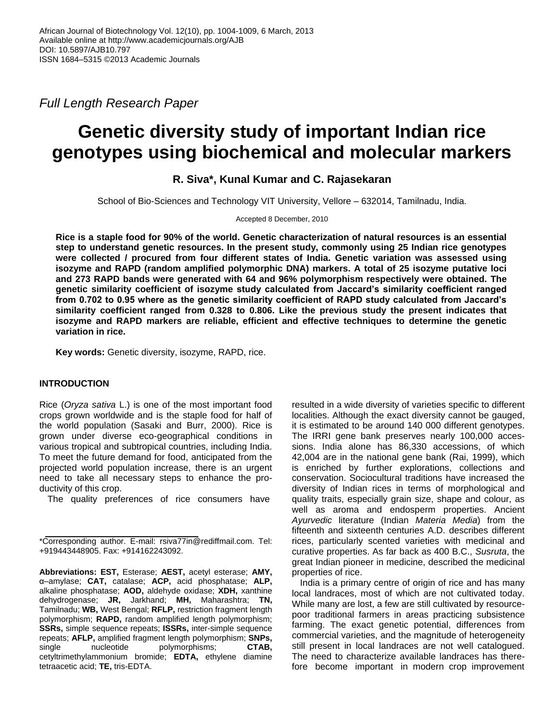*Full Length Research Paper*

# **Genetic diversity study of important Indian rice genotypes using biochemical and molecular markers**

**R. Siva\*, Kunal Kumar and C. Rajasekaran**

School of Bio-Sciences and Technology VIT University, Vellore – 632014, Tamilnadu, India.

Accepted 8 December, 2010

**Rice is a staple food for 90% of the world. Genetic characterization of natural resources is an essential step to understand genetic resources. In the present study, commonly using 25 Indian rice genotypes were collected / procured from four different states of India. Genetic variation was assessed using isozyme and RAPD (random amplified polymorphic DNA) markers. A total of 25 isozyme putative loci and 273 RAPD bands were generated with 64 and 96% polymorphism respectively were obtained. The genetic similarity coefficient of isozyme study calculated from Jaccard's similarity coefficient ranged from 0.702 to 0.95 where as the genetic similarity coefficient of RAPD study calculated from Jaccard's similarity coefficient ranged from 0.328 to 0.806. Like the previous study the present indicates that isozyme and RAPD markers are reliable, efficient and effective techniques to determine the genetic variation in rice.** 

**Key words:** Genetic diversity, isozyme, RAPD, rice.

## **INTRODUCTION**

Rice (*Oryza sativa* L.) is one of the most important food crops grown worldwide and is the staple food for half of the world population (Sasaki and Burr, 2000). Rice is grown under diverse eco-geographical conditions in various tropical and subtropical countries, including India. To meet the future demand for food, anticipated from the projected world population increase, there is an urgent need to take all necessary steps to enhance the productivity of this crop.

The quality preferences of rice consumers have

resulted in a wide diversity of varieties specific to different localities. Although the exact diversity cannot be gauged, it is estimated to be around 140 000 different genotypes. The IRRI gene bank preserves nearly 100,000 accessions. India alone has 86,330 accessions, of which 42,004 are in the national gene bank (Rai, 1999), which is enriched by further explorations, collections and conservation. Sociocultural traditions have increased the diversity of Indian rices in terms of morphological and quality traits, especially grain size, shape and colour, as well as aroma and endosperm properties. Ancient *Ayurvedic* literature (Indian *Materia Media*) from the fifteenth and sixteenth centuries A.D. describes different rices, particularly scented varieties with medicinal and curative properties. As far back as 400 B.C., *Susruta*, the great Indian pioneer in medicine, described the medicinal properties of rice.

India is a primary centre of origin of rice and has many local landraces, most of which are not cultivated today. While many are lost, a few are still cultivated by resourcepoor traditional farmers in areas practicing subsistence farming. The exact genetic potential, differences from commercial varieties, and the magnitude of heterogeneity still present in local landraces are not well catalogued. The need to characterize available landraces has therefore become important in modern crop improvement

<sup>\*</sup>Corresponding author. E-mail: rsiva77in@rediffmail.com. Tel: +919443448905. Fax: +914162243092.

**Abbreviations: EST,** Esterase; **AEST,** acetyl esterase; **AMY,** α–amylase; **CAT,** catalase; **ACP,** acid phosphatase; **ALP,** alkaline phosphatase; **AOD,** aldehyde oxidase; **XDH,** xanthine dehydrogenase; **JR,** Jarkhand; **MH,** Maharashtra; **TN,** Tamilnadu; **WB,** West Bengal; **RFLP,** restriction fragment length polymorphism; **RAPD,** random amplified length polymorphism; **SSRs,** simple sequence repeats; **ISSRs,** inter-simple sequence repeats; **AFLP,** amplified fragment length polymorphism; **SNPs,** single nucleotide polymorphisms; **CTAB,** cetyltrimethylammonium bromide; **EDTA,** ethylene diamine tetraacetic acid; **TE,** tris-EDTA.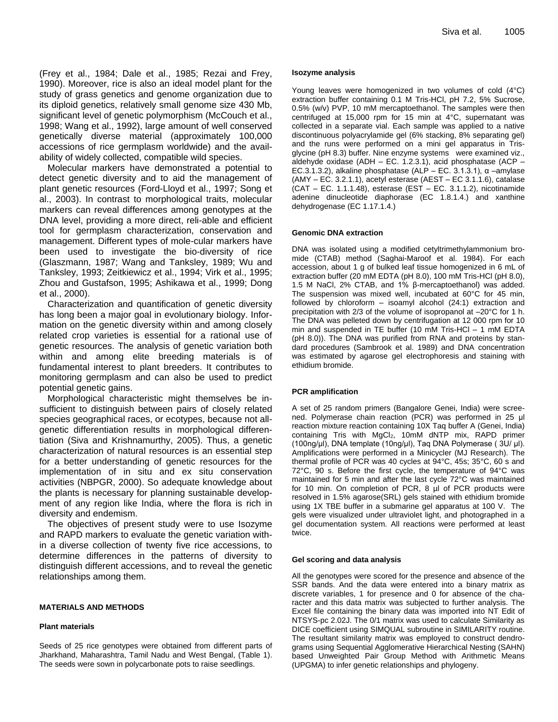(Frey et al., 1984; Dale et al., 1985; Rezai and Frey, 1990). Moreover, rice is also an ideal model plant for the study of grass genetics and genome organization due to its diploid genetics, relatively small genome size 430 Mb, significant level of genetic polymorphism (McCouch et al., 1998; Wang et al., 1992), large amount of well conserved genetically diverse material (approximately 100,000 accessions of rice germplasm worldwide) and the availability of widely collected, compatible wild species.

Molecular markers have demonstrated a potential to detect genetic diversity and to aid the management of plant genetic resources (Ford-Lloyd et al., 1997; Song et al., 2003). In contrast to morphological traits, molecular markers can reveal differences among genotypes at the DNA level, providing a more direct, reli-able and efficient tool for germplasm characterization, conservation and management. Different types of mole-cular markers have been used to investigate the bio-diversity of rice (Glaszmann, 1987; Wang and Tanksley, 1989; Wu and Tanksley, 1993; Zeitkiewicz et al., 1994; Virk et al., 1995; Zhou and Gustafson, 1995; Ashikawa et al., 1999; Dong et al., 2000).

Characterization and quantification of genetic diversity has long been a major goal in evolutionary biology. Information on the genetic diversity within and among closely related crop varieties is essential for a rational use of genetic resources. The analysis of genetic variation both within and among elite breeding materials is of fundamental interest to plant breeders. It contributes to monitoring germplasm and can also be used to predict potential genetic gains.

Morphological characteristic might themselves be insufficient to distinguish between pairs of closely related species geographical races, or ecotypes, because not allgenetic differentiation results in morphological differentiation (Siva and Krishnamurthy, 2005). Thus, a genetic characterization of natural resources is an essential step for a better understanding of genetic resources for the implementation of in situ and ex situ conservation activities (NBPGR, 2000). So adequate knowledge about the plants is necessary for planning sustainable development of any region like India, where the flora is rich in diversity and endemism.

The objectives of present study were to use Isozyme and RAPD markers to evaluate the genetic variation within a diverse collection of twenty five rice accessions, to determine differences in the patterns of diversity to distinguish different accessions, and to reveal the genetic relationships among them.

#### **MATERIALS AND METHODS**

#### **Plant materials**

Seeds of 25 rice genotypes were obtained from different parts of Jharkhand, Maharashtra, Tamil Nadu and West Bengal, (Table 1). The seeds were sown in polycarbonate pots to raise seedlings.

#### **Isozyme analysis**

Young leaves were homogenized in two volumes of cold (4°C) extraction buffer containing 0.1 M Tris-HCl, pH 7.2, 5% Sucrose, 0.5% (w/v) PVP, 10 mM mercaptoethanol. The samples were then centrifuged at 15,000 rpm for 15 min at 4°C, supernatant was collected in a separate vial. Each sample was applied to a native discontinuous polyacrylamide gel (6% stacking, 8% separating gel) and the runs were performed on a mini gel apparatus in Trisglycine (pH 8.3) buffer. Nine enzyme systems were examined viz., aldehyde oxidase (ADH – EC. 1.2.3.1), acid phosphatase (ACP – EC.3.1.3.2), alkaline phosphatase (ALP – EC. 3.1.3.1), α –amylase (AMY – EC. 3.2.1.1), acetyl esterase (AEST – EC 3.1.1.6), catalase (CAT – EC. 1.1.1.48), esterase (EST – EC. 3.1.1.2), nicotinamide adenine dinucleotide diaphorase (EC 1.8.1.4.) and xanthine dehydrogenase (EC 1.17.1.4.)

#### **Genomic DNA extraction**

DNA was isolated using a modified cetyltrimethylammonium bromide (CTAB) method (Saghai-Maroof et al. 1984). For each accession, about 1 g of bulked leaf tissue homogenized in 6 mL of extraction buffer (20 mM EDTA (pH 8.0), 100 mM Tris-HCl (pH 8.0), 1.5 M NaCl, 2% CTAB, and 1% β-mercaptoethanol) was added. The suspension was mixed well, incubated at 60°C for 45 min, followed by chloroform – isoamyl alcohol (24:1) extraction and precipitation with 2/3 of the volume of isopropanol at –20°C for 1 h. The DNA was pelleted down by centrifugation at 12 000 rpm for 10 min and suspended in TE buffer (10 mM Tris-HCl – 1 mM EDTA (pH 8.0)). The DNA was purified from RNA and proteins by standard procedures (Sambrook et al. 1989) and DNA concentration was estimated by agarose gel electrophoresis and staining with ethidium bromide.

#### **PCR amplification**

A set of 25 random primers (Bangalore Genei, India) were screened. Polymerase chain reaction (PCR) was performed in 25 μl reaction mixture reaction containing 10X Taq buffer A (Genei, India) containing Tris with MgCl<sub>2</sub>, 10mM dNTP mix, RAPD primer (100ng/µl), DNA template (10ng/μl), Taq DNA Polymerase ( 3U/ μl). Amplifications were performed in a Minicycler (MJ Research). The thermal profile of PCR was 40 cycles at 94°C, 45s; 35°C, 60 s and 72°C, 90 s. Before the first cycle, the temperature of 94°C was maintained for 5 min and after the last cycle 72°C was maintained for 10 min. On completion of PCR, 8 µl of PCR products were resolved in 1.5% agarose(SRL) gels stained with ethidium bromide using 1X TBE buffer in a submarine gel apparatus at 100 V. The gels were visualized under ultraviolet light, and photographed in a gel documentation system. All reactions were performed at least twice.

#### **Gel scoring and data analysis**

All the genotypes were scored for the presence and absence of the SSR bands. And the data were entered into a binary matrix as discrete variables, 1 for presence and 0 for absence of the character and this data matrix was subjected to further analysis. The Excel file containing the binary data was imported into NT Edit of NTSYS-pc 2.02J. The 0/1 matrix was used to calculate Similarity as DICE coefficient using SIMQUAL subroutine in SIMILARITY routine. The resultant similarity matrix was employed to construct dendrograms using Sequential Agglomerative Hierarchical Nesting (SAHN) based Unweighted Pair Group Method with Arithmetic Means (UPGMA) to infer genetic relationships and phylogeny.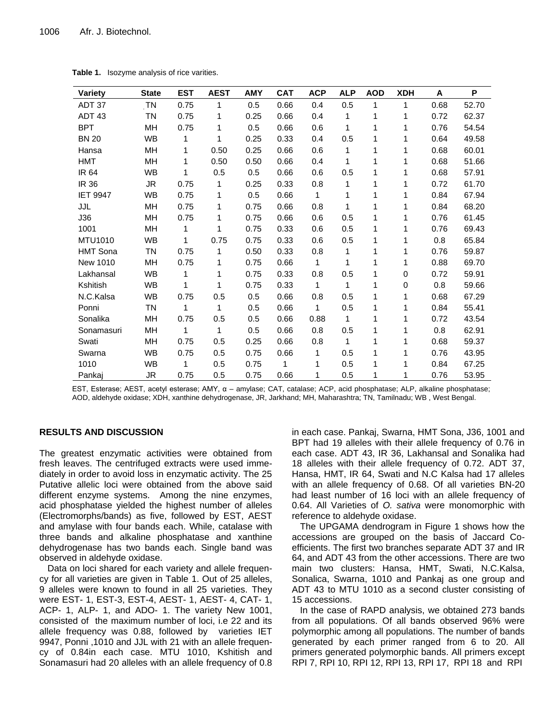| Variety           | <b>State</b>            | <b>EST</b> | <b>AEST</b> | <b>AMY</b> | <b>CAT</b> | <b>ACP</b> | <b>ALP</b> | <b>AOD</b> | <b>XDH</b> | A    | P     |
|-------------------|-------------------------|------------|-------------|------------|------------|------------|------------|------------|------------|------|-------|
| ADT 37            | $\mathsf{T} \mathsf{N}$ | 0.75       | 1           | 0.5        | 0.66       | 0.4        | 0.5        | 1          | 1          | 0.68 | 52.70 |
| ADT <sub>43</sub> | <b>TN</b>               | 0.75       | 1           | 0.25       | 0.66       | 0.4        | 1          | 1          | 1          | 0.72 | 62.37 |
| <b>BPT</b>        | MН                      | 0.75       | 1           | 0.5        | 0.66       | 0.6        | 1          | 1          | 1          | 0.76 | 54.54 |
| <b>BN 20</b>      | <b>WB</b>               | 1          | 1           | 0.25       | 0.33       | 0.4        | 0.5        | 1          | 1          | 0.64 | 49.58 |
| Hansa             | MН                      | 1          | 0.50        | 0.25       | 0.66       | 0.6        | 1          | 1          | 1          | 0.68 | 60.01 |
| <b>HMT</b>        | MH                      | 1          | 0.50        | 0.50       | 0.66       | 0.4        | 1          | 1          | 1          | 0.68 | 51.66 |
| <b>IR 64</b>      | <b>WB</b>               | 1          | 0.5         | 0.5        | 0.66       | 0.6        | 0.5        | 1          | 1          | 0.68 | 57.91 |
| IR 36             | JR                      | 0.75       | 1           | 0.25       | 0.33       | 0.8        | 1          | 1          | 1          | 0.72 | 61.70 |
| <b>IET 9947</b>   | <b>WB</b>               | 0.75       | 1           | 0.5        | 0.66       | 1          | 1          | 1          | 1          | 0.84 | 67.94 |
| JJL               | MН                      | 0.75       | 1           | 0.75       | 0.66       | 0.8        | 1          | 1          | 1          | 0.84 | 68.20 |
| J36               | MH                      | 0.75       | 1           | 0.75       | 0.66       | 0.6        | 0.5        | 1          | 1          | 0.76 | 61.45 |
| 1001              | <b>MH</b>               | 1          | 1           | 0.75       | 0.33       | 0.6        | 0.5        | 1          | 1          | 0.76 | 69.43 |
| MTU1010           | <b>WB</b>               | 1          | 0.75        | 0.75       | 0.33       | 0.6        | 0.5        | 1          | 1          | 0.8  | 65.84 |
| <b>HMT Sona</b>   | TN                      | 0.75       | 1           | 0.50       | 0.33       | 0.8        | 1          | 1          | 1          | 0.76 | 59.87 |
| New 1010          | MН                      | 0.75       | 1           | 0.75       | 0.66       | 1          | 1          | 1          | 1          | 0.88 | 69.70 |
| Lakhansal         | <b>WB</b>               | 1          | 1           | 0.75       | 0.33       | 0.8        | 0.5        | 1          | 0          | 0.72 | 59.91 |
| Kshitish          | <b>WB</b>               |            | 1           | 0.75       | 0.33       | 1          | 1          | 1          | 0          | 0.8  | 59.66 |
| N.C.Kalsa         | <b>WB</b>               | 0.75       | 0.5         | 0.5        | 0.66       | 0.8        | 0.5        | 1          | 1          | 0.68 | 67.29 |
| Ponni             | <b>TN</b>               | 1          | 1           | 0.5        | 0.66       | 1          | 0.5        | 1          | 1          | 0.84 | 55.41 |
| Sonalika          | MН                      | 0.75       | 0.5         | 0.5        | 0.66       | 0.88       | 1          | 1          | 1          | 0.72 | 43.54 |
| Sonamasuri        | MН                      | 1          | 1           | 0.5        | 0.66       | 0.8        | 0.5        | 1          | 1          | 0.8  | 62.91 |
| Swati             | MН                      | 0.75       | 0.5         | 0.25       | 0.66       | 0.8        | 1          | 1          | 1          | 0.68 | 59.37 |
| Swarna            | <b>WB</b>               | 0.75       | 0.5         | 0.75       | 0.66       | 1          | 0.5        | 1          | 1          | 0.76 | 43.95 |
| 1010              | <b>WB</b>               | 1          | 0.5         | 0.75       | 1          | 1          | 0.5        | 1          | 1          | 0.84 | 67.25 |
| Pankaj            | <b>JR</b>               | 0.75       | 0.5         | 0.75       | 0.66       | 1          | 0.5        | 1          | 1          | 0.76 | 53.95 |

**Table 1.** Isozyme analysis of rice varities.

EST, Esterase; AEST, acetyl esterase; AMY, α – amylase; CAT, catalase; ACP, acid phosphatase; ALP, alkaline phosphatase; AOD, aldehyde oxidase; XDH, xanthine dehydrogenase, JR, Jarkhand; MH, Maharashtra; TN, Tamilnadu; WB , West Bengal.

## **RESULTS AND DISCUSSION**

The greatest enzymatic activities were obtained from fresh leaves. The centrifuged extracts were used immediately in order to avoid loss in enzymatic activity. The 25 Putative allelic loci were obtained from the above said different enzyme systems. Among the nine enzymes, acid phosphatase yielded the highest number of alleles (Electromorphs/bands) as five, followed by EST, AEST and amylase with four bands each. While, catalase with three bands and alkaline phosphatase and xanthine dehydrogenase has two bands each. Single band was observed in aldehyde oxidase.

Data on loci shared for each variety and allele frequency for all varieties are given in Table 1. Out of 25 alleles, 9 alleles were known to found in all 25 varieties. They were EST- 1, EST-3, EST-4, AEST- 1, AEST- 4, CAT- 1, ACP- 1, ALP- 1, and ADO- 1. The variety New 1001, consisted of the maximum number of loci, i.e 22 and its allele frequency was 0.88, followed by varieties IET 9947, Ponni ,1010 and JJL with 21 with an allele frequency of 0.84in each case. MTU 1010, Kshitish and Sonamasuri had 20 alleles with an allele frequency of 0.8 in each case. Pankaj, Swarna, HMT Sona, J36, 1001 and BPT had 19 alleles with their allele frequency of 0.76 in each case. ADT 43, IR 36, Lakhansal and Sonalika had 18 alleles with their allele frequency of 0.72. ADT 37, Hansa, HMT, IR 64, Swati and N.C Kalsa had 17 alleles with an allele frequency of 0.68. Of all varieties BN-20 had least number of 16 loci with an allele frequency of 0.64. All Varieties of *O. sativa* were monomorphic with reference to aldehyde oxidase.

The UPGAMA dendrogram in Figure 1 shows how the accessions are grouped on the basis of Jaccard Coefficients. The first two branches separate ADT 37 and IR 64, and ADT 43 from the other accessions. There are two main two clusters: Hansa, HMT, Swati, N.C.Kalsa, Sonalica, Swarna, 1010 and Pankaj as one group and ADT 43 to MTU 1010 as a second cluster consisting of 15 accessions.

In the case of RAPD analysis, we obtained 273 bands from all populations. Of all bands observed 96% were polymorphic among all populations. The number of bands generated by each primer ranged from 6 to 20. All primers generated polymorphic bands. All primers except RPI 7, RPI 10, RPI 12, RPI 13, RPI 17, RPI 18 and RPI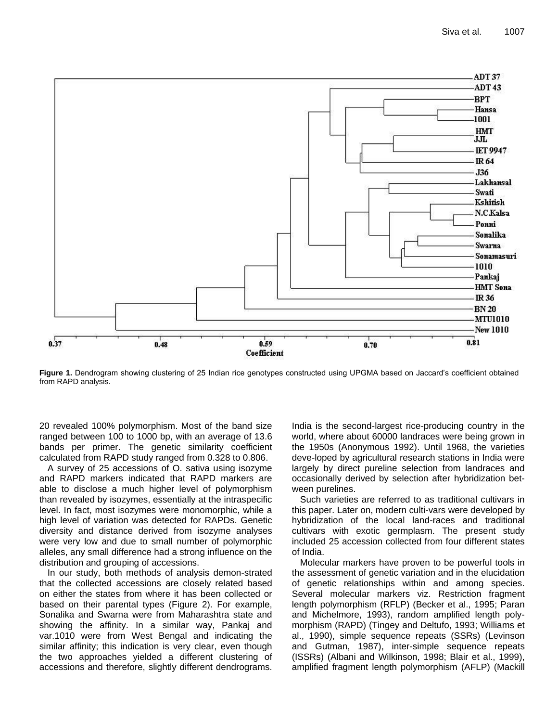

**Figure 1.** Dendrogram showing clustering of 25 Indian rice genotypes constructed using UPGMA based on Jaccard's coefficient obtained from RAPD analysis.

20 revealed 100% polymorphism. Most of the band size ranged between 100 to 1000 bp, with an average of 13.6 bands per primer. The genetic similarity coefficient calculated from RAPD study ranged from 0.328 to 0.806.

A survey of 25 accessions of O. sativa using isozyme and RAPD markers indicated that RAPD markers are able to disclose a much higher level of polymorphism than revealed by isozymes, essentially at the intraspecific level. In fact, most isozymes were monomorphic, while a high level of variation was detected for RAPDs. Genetic diversity and distance derived from isozyme analyses were very low and due to small number of polymorphic alleles, any small difference had a strong influence on the distribution and grouping of accessions.

In our study, both methods of analysis demon-strated that the collected accessions are closely related based on either the states from where it has been collected or based on their parental types (Figure 2). For example, Sonalika and Swarna were from Maharashtra state and showing the affinity. In a similar way, Pankaj and var.1010 were from West Bengal and indicating the similar affinity; this indication is very clear, even though the two approaches yielded a different clustering of accessions and therefore, slightly different dendrograms. India is the second-largest rice-producing country in the world, where about 60000 landraces were being grown in the 1950s (Anonymous 1992). Until 1968, the varieties deve-loped by agricultural research stations in India were largely by direct pureline selection from landraces and occasionally derived by selection after hybridization between purelines.

Such varieties are referred to as traditional cultivars in this paper. Later on, modern culti-vars were developed by hybridization of the local land-races and traditional cultivars with exotic germplasm. The present study included 25 accession collected from four different states of India.

Molecular markers have proven to be powerful tools in the assessment of genetic variation and in the elucidation of genetic relationships within and among species. Several molecular markers viz. Restriction fragment length polymorphism (RFLP) (Becker et al., 1995; Paran and Michelmore, 1993), random amplified length polymorphism (RAPD) (Tingey and Deltufo, 1993; Williams et al., 1990), simple sequence repeats (SSRs) (Levinson and Gutman, 1987), inter-simple sequence repeats (ISSRs) (Albani and Wilkinson, 1998; Blair et al., 1999), amplified fragment length polymorphism (AFLP) (Mackill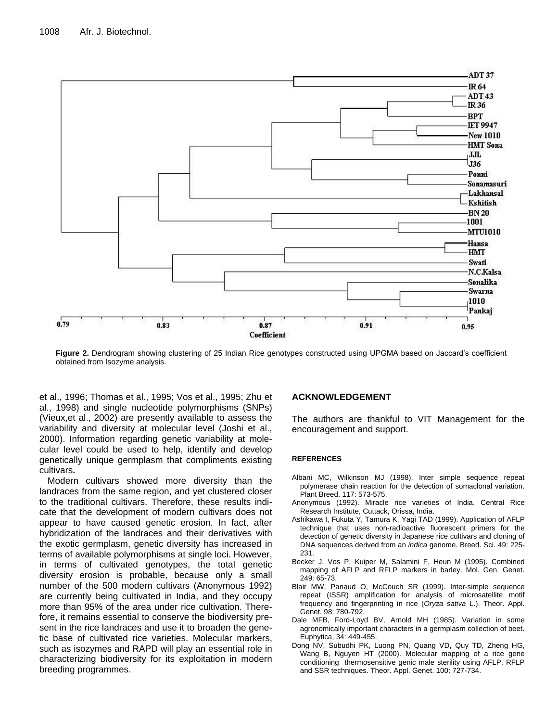

**Figure 2.** Dendrogram showing clustering of 25 Indian Rice genotypes constructed using UPGMA based on Jaccard's coefficient obtained from Isozyme analysis.

et al., 1996; Thomas et al., 1995; Vos et al., 1995; Zhu et al., 1998) and single nucleotide polymorphisms (SNPs) (Vieux,et al., 2002) are presently available to assess the variability and diversity at molecular level (Joshi et al., 2000). Information regarding genetic variability at molecular level could be used to help, identify and develop genetically unique germplasm that compliments existing cultivars**.** 

Modern cultivars showed more diversity than the landraces from the same region, and yet clustered closer to the traditional cultivars. Therefore, these results indicate that the development of modern cultivars does not appear to have caused genetic erosion. In fact, after hybridization of the landraces and their derivatives with the exotic germplasm, genetic diversity has increased in terms of available polymorphisms at single loci. However, in terms of cultivated genotypes, the total genetic diversity erosion is probable, because only a small number of the 500 modern cultivars (Anonymous 1992) are currently being cultivated in India, and they occupy more than 95% of the area under rice cultivation. Therefore, it remains essential to conserve the biodiversity present in the rice landraces and use it to broaden the genetic base of cultivated rice varieties. Molecular markers, such as isozymes and RAPD will play an essential role in characterizing biodiversity for its exploitation in modern breeding programmes.

## **ACKNOWLEDGEMENT**

The authors are thankful to VIT Management for the encouragement and support.

### **REFERENCES**

- Albani MC, Wilkinson MJ (1998). Inter simple sequence repeat polymerase chain reaction for the detection of somaclonal variation. Plant Breed. 117: 573-575.
- Anonymous (1992). Miracle rice varieties of India. Central Rice Research Institute, Cuttack, Orissa, India.
- Ashikawa I, Fukuta Y, Tamura K, Yagi TAD (1999). Application of AFLP technique that uses non-radioactive fluorescent primers for the detection of genetic diversity in Japanese rice cultivars and cloning of DNA sequences derived from an *indica* genome. Breed. Sci. 49: 225- 231.
- Becker J, Vos P, Kuiper M, Salamini F, Heun M (1995). Combined mapping of AFLP and RFLP markers in barley. Mol. Gen. Genet. 249: 65-73.
- Blair MW, Panaud O, McCouch SR (1999). Inter-simple sequence repeat (ISSR) amplification for analysis of microsatellite motif frequency and fingerprinting in rice (*Oryza sativa* L.). Theor. Appl. Genet. 98: 780-792.
- Dale MFB, Ford-Loyd BV, Arnold MH (1985). Variation in some agronomically important characters in a germplasm collection of beet. Euphytica, 34: 449-455.
- Dong NV, Subudhi PK, Luong PN, Quang VD, Quy TD, Zheng HG, Wang B, Nguyen HT (2000). Molecular mapping of a rice gene conditioning thermosensitive genic male sterility using AFLP, RFLP and SSR techniques. Theor. Appl. Genet. 100: 727-734.